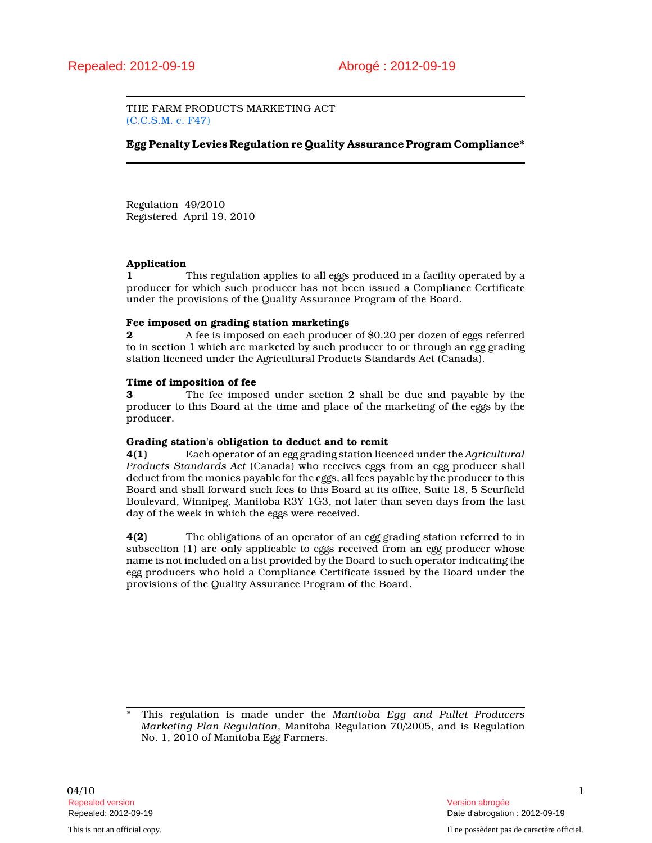THE FARM PRODUCTS MARKETING ACT (C.C.S.M. c. F47)

## Egg Penalty Levies Regulation re Quality Assurance Program Compliance\*

Regulation 49/2010 Registered April 19, 2010

## Application

1 This regulation applies to all eggs produced in a facility operated by a producer for which such producer has not been issued a Compliance Certificate under the provisions of the Quality Assurance Program of the Board.

### Fee imposed on grading station marketings

2 **a** A fee is imposed on each producer of \$0.20 per dozen of eggs referred to in section 1 which are marketed by such producer to or through an egg grading station licenced under the Agricultural Products Standards Act (Canada).

### Time of imposition of fee

3 The fee imposed under section 2 shall be due and payable by the producer to this Board at the time and place of the marketing of the eggs by the producer.

### Grading station's obligation to deduct and to remit

4(1) Each operator of an egg grading station licenced under the Agricultural Products Standards Act (Canada) who receives eggs from an egg producer shall deduct from the monies payable for the eggs, all fees payable by the producer to this Board and shall forward such fees to this Board at its office, Suite 18, 5 Scurfield Boulevard, Winnipeg, Manitoba R3Y 1G3, not later than seven days from the last day of the week in which the eggs were received.

4(2) The obligations of an operator of an egg grading station referred to in subsection (1) are only applicable to eggs received from an egg producer whose name is not included on a list provided by the Board to such operator indicating the egg producers who hold a Compliance Certificate issued by the Board under the provisions of the Quality Assurance Program of the Board.

This regulation is made under the Manitoba Egg and Pullet Producers Marketing Plan Regulation, Manitoba Regulation 70/2005, and is Regulation No. 1, 2010 of Manitoba Egg Farmers.